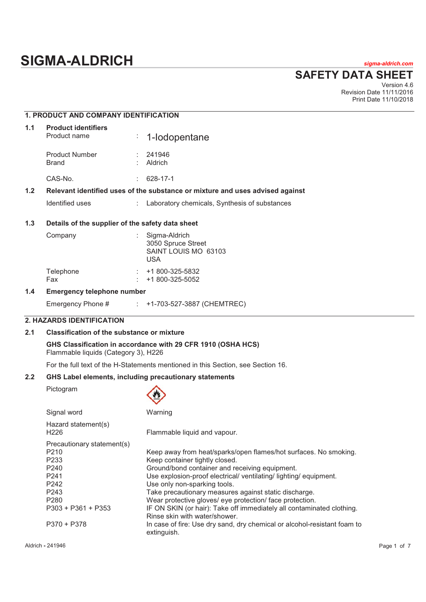# **SIGMA-ALDRICH** *sigma-aldrich.com*

**SAFETY DATA SHEET**

Version 4.6 Revision Date 11/11/2016 Print Date 11/10/2018

| <b>1. PRODUCT AND COMPANY IDENTIFICATION</b> |
|----------------------------------------------|
|                                              |

| 1.1 | <b>Product identifiers</b><br>Product name |    | $\div$ 1-lodopentane                                                          |
|-----|--------------------------------------------|----|-------------------------------------------------------------------------------|
|     | <b>Product Number</b><br>Brand             |    | 241946<br>Aldrich                                                             |
|     | CAS-No.                                    | ÷. | 628-17-1                                                                      |
| 1.2 |                                            |    | Relevant identified uses of the substance or mixture and uses advised against |
|     |                                            |    |                                                                               |

Identified uses : Laboratory chemicals, Synthesis of substances

## **1.3 Details of the supplier of the safety data sheet**

| Company          | Sigma-Aldrich<br>3050 Spruce Street<br>SAINT LOUIS MO 63103<br>USA |
|------------------|--------------------------------------------------------------------|
| Telephone<br>Fax | +1 800-325-5832<br>$\div$ +1 800-325-5052                          |

## **1.4 Emergency telephone number**

| Emergency Phone # |  | +1-703-527-3887 (CHEMTREC) |  |  |
|-------------------|--|----------------------------|--|--|
|-------------------|--|----------------------------|--|--|

## **2. HAZARDS IDENTIFICATION**

## **2.1 Classification of the substance or mixture**

**GHS Classification in accordance with 29 CFR 1910 (OSHA HCS)**  Flammable liquids (Category 3), H226

For the full text of the H-Statements mentioned in this Section, see Section 16.

## **2.2 GHS Label elements, including precautionary statements**

Pictogram



| Signal word                             | Warning                                                                                                |
|-----------------------------------------|--------------------------------------------------------------------------------------------------------|
| Hazard statement(s)<br>H <sub>226</sub> | Flammable liquid and vapour.                                                                           |
| Precautionary statement(s)              |                                                                                                        |
| P <sub>210</sub>                        | Keep away from heat/sparks/open flames/hot surfaces. No smoking.                                       |
| P <sub>233</sub>                        | Keep container tightly closed.                                                                         |
| P <sub>240</sub>                        | Ground/bond container and receiving equipment.                                                         |
| P <sub>241</sub>                        | Use explosion-proof electrical/ventilating/lighting/equipment.                                         |
| P <sub>242</sub>                        | Use only non-sparking tools.                                                                           |
| P <sub>243</sub>                        | Take precautionary measures against static discharge.                                                  |
| P <sub>280</sub>                        | Wear protective gloves/ eye protection/ face protection.                                               |
| $P303 + P361 + P353$                    | IF ON SKIN (or hair): Take off immediately all contaminated clothing.<br>Rinse skin with water/shower. |
| P370 + P378                             | In case of fire: Use dry sand, dry chemical or alcohol-resistant foam to<br>extinguish.                |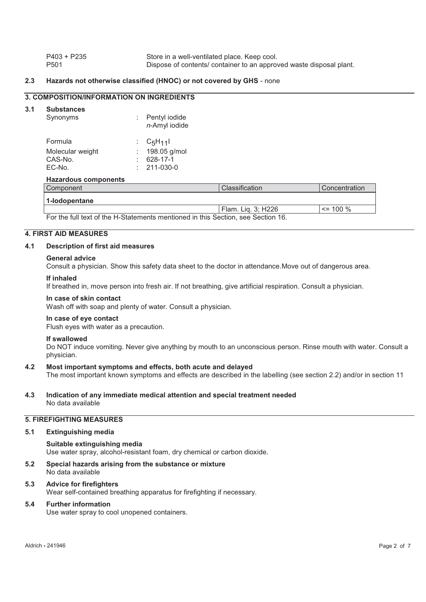| $P403 + P235$    | Store in a well-ventilated place. Keep cool.                        |
|------------------|---------------------------------------------------------------------|
| P <sub>501</sub> | Dispose of contents/ container to an approved waste disposal plant. |

## **2.3 Hazards not otherwise classified (HNOC) or not covered by GHS** - none

## **3. COMPOSITION/INFORMATION ON INGREDIENTS**

#### **3.1 Substances**

| Synonyms                                         | : Pentyl iodide<br>n-Amyl iodide                               |
|--------------------------------------------------|----------------------------------------------------------------|
| Formula<br>Molecular weight<br>CAS-No.<br>EC-No. | : $C_5H_{11}$<br>198.05 g/mol<br>628-17-1<br>$: 211 - 030 - 0$ |
|                                                  |                                                                |

## **Hazardous components**

| Component                                                                       | Classification     | <b>Concentration</b> |
|---------------------------------------------------------------------------------|--------------------|----------------------|
| l 1-lodopentane                                                                 |                    |                      |
|                                                                                 | Flam. Lig. 3; H226 | $\le$ = 100 %        |
| Ear the full text of the H Ctotemente mentioned in this Coetien, see Coetien 16 |                    |                      |

For the full text of the H-Statements mentioned in this Section, see Section 16.

## **4. FIRST AID MEASURES**

## **4.1 Description of first aid measures**

#### **General advice**

Consult a physician. Show this safety data sheet to the doctor in attendance.Move out of dangerous area.

#### **If inhaled**

If breathed in, move person into fresh air. If not breathing, give artificial respiration. Consult a physician.

#### **In case of skin contact**

Wash off with soap and plenty of water. Consult a physician.

## **In case of eye contact**

Flush eyes with water as a precaution.

#### **If swallowed**

Do NOT induce vomiting. Never give anything by mouth to an unconscious person. Rinse mouth with water. Consult a physician.

#### **4.2 Most important symptoms and effects, both acute and delayed**

The most important known symptoms and effects are described in the labelling (see section 2.2) and/or in section 11

## **4.3 Indication of any immediate medical attention and special treatment needed**  No data available

## **5. FIREFIGHTING MEASURES**

#### **5.1 Extinguishing media**

**Suitable extinguishing media**  Use water spray, alcohol-resistant foam, dry chemical or carbon dioxide.

#### **5.2 Special hazards arising from the substance or mixture**  No data available

## **5.3 Advice for firefighters**

Wear self-contained breathing apparatus for firefighting if necessary.

## **5.4 Further information**

Use water spray to cool unopened containers.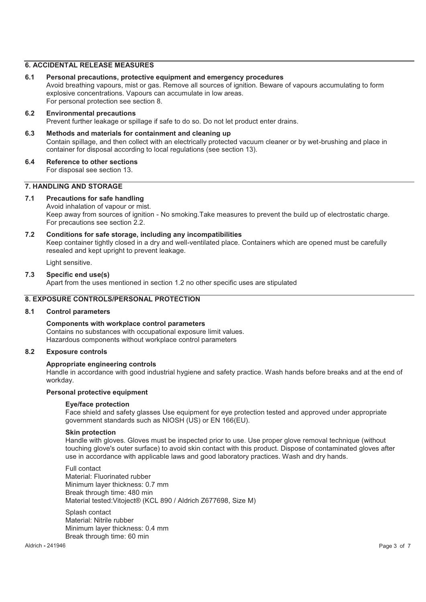## **6. ACCIDENTAL RELEASE MEASURES**

- **6.1 Personal precautions, protective equipment and emergency procedures**  Avoid breathing vapours, mist or gas. Remove all sources of ignition. Beware of vapours accumulating to form explosive concentrations. Vapours can accumulate in low areas. For personal protection see section 8.
- **6.2 Environmental precautions**  Prevent further leakage or spillage if safe to do so. Do not let product enter drains.
- **6.3 Methods and materials for containment and cleaning up**  Contain spillage, and then collect with an electrically protected vacuum cleaner or by wet-brushing and place in container for disposal according to local regulations (see section 13).
- **6.4 Reference to other sections**  For disposal see section 13.

## **7. HANDLING AND STORAGE**

## **7.1 Precautions for safe handling**

Avoid inhalation of vapour or mist. Keep away from sources of ignition - No smoking.Take measures to prevent the build up of electrostatic charge. For precautions see section 2.2.

**7.2 Conditions for safe storage, including any incompatibilities**  Keep container tightly closed in a dry and well-ventilated place. Containers which are opened must be carefully resealed and kept upright to prevent leakage.

Light sensitive.

**7.3 Specific end use(s)**  Apart from the uses mentioned in section 1.2 no other specific uses are stipulated

## **8. EXPOSURE CONTROLS/PERSONAL PROTECTION**

## **8.1 Control parameters**

#### **Components with workplace control parameters**

Contains no substances with occupational exposure limit values. Hazardous components without workplace control parameters

## **8.2 Exposure controls**

#### **Appropriate engineering controls**

Handle in accordance with good industrial hygiene and safety practice. Wash hands before breaks and at the end of workday.

#### **Personal protective equipment**

#### **Eye/face protection**

Face shield and safety glasses Use equipment for eye protection tested and approved under appropriate government standards such as NIOSH (US) or EN 166(EU).

#### **Skin protection**

Handle with gloves. Gloves must be inspected prior to use. Use proper glove removal technique (without touching glove's outer surface) to avoid skin contact with this product. Dispose of contaminated gloves after use in accordance with applicable laws and good laboratory practices. Wash and dry hands.

Full contact Material: Fluorinated rubber Minimum layer thickness: 0.7 mm Break through time: 480 min Material tested:Vitoject® (KCL 890 / Aldrich Z677698, Size M)

Splash contact Material: Nitrile rubber Minimum layer thickness: 0.4 mm Break through time: 60 min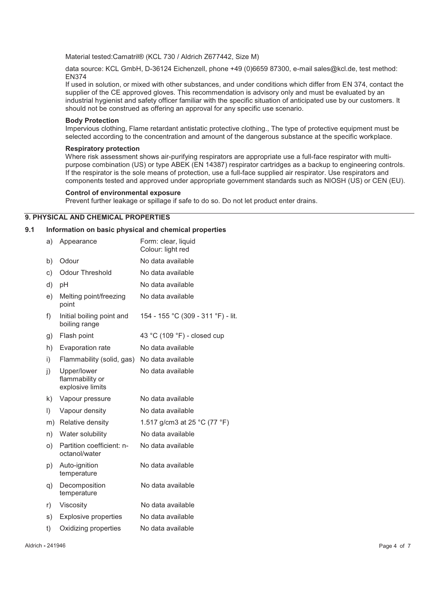Material tested:Camatril® (KCL 730 / Aldrich Z677442, Size M)

data source: KCL GmbH, D-36124 Eichenzell, phone +49 (0)6659 87300, e-mail sales@kcl.de, test method: EN374

If used in solution, or mixed with other substances, and under conditions which differ from EN 374, contact the supplier of the CE approved gloves. This recommendation is advisory only and must be evaluated by an industrial hygienist and safety officer familiar with the specific situation of anticipated use by our customers. It should not be construed as offering an approval for any specific use scenario.

## **Body Protection**

Impervious clothing, Flame retardant antistatic protective clothing., The type of protective equipment must be selected according to the concentration and amount of the dangerous substance at the specific workplace.

#### **Respiratory protection**

Where risk assessment shows air-purifying respirators are appropriate use a full-face respirator with multipurpose combination (US) or type ABEK (EN 14387) respirator cartridges as a backup to engineering controls. If the respirator is the sole means of protection, use a full-face supplied air respirator. Use respirators and components tested and approved under appropriate government standards such as NIOSH (US) or CEN (EU).

## **Control of environmental exposure**

Prevent further leakage or spillage if safe to do so. Do not let product enter drains.

## **9. PHYSICAL AND CHEMICAL PROPERTIES**

## **9.1 Information on basic physical and chemical properties**

| a)      | Appearance                                         | Form: clear, liquid<br>Colour: light red |
|---------|----------------------------------------------------|------------------------------------------|
| b)      | Odour                                              | No data available                        |
| c)      | <b>Odour Threshold</b>                             | No data available                        |
| d)      | pH                                                 | No data available                        |
| e)      | Melting point/freezing<br>point                    | No data available                        |
| f)      | Initial boiling point and<br>boiling range         | 154 - 155 °C (309 - 311 °F) - lit.       |
| g)      | Flash point                                        | 43 °C (109 °F) - closed cup              |
| h)      | Evaporation rate                                   | No data available                        |
| i)      | Flammability (solid, gas)                          | No data available                        |
| j)      | Upper/lower<br>flammability or<br>explosive limits | No data available                        |
| k)      | Vapour pressure                                    | No data available                        |
| $\vert$ | Vapour density                                     | No data available                        |
| m)      | Relative density                                   | 1.517 g/cm3 at 25 °C (77 °F)             |
| n)      | Water solubility                                   | No data available                        |
| O)      | Partition coefficient: n-<br>octanol/water         | No data available                        |
| p)      | Auto-ignition<br>temperature                       | No data available                        |
| q)      | Decomposition<br>temperature                       | No data available                        |
| r)      | Viscosity                                          | No data available                        |
| s)      | <b>Explosive properties</b>                        | No data available                        |
| t)      | Oxidizing properties                               | No data available                        |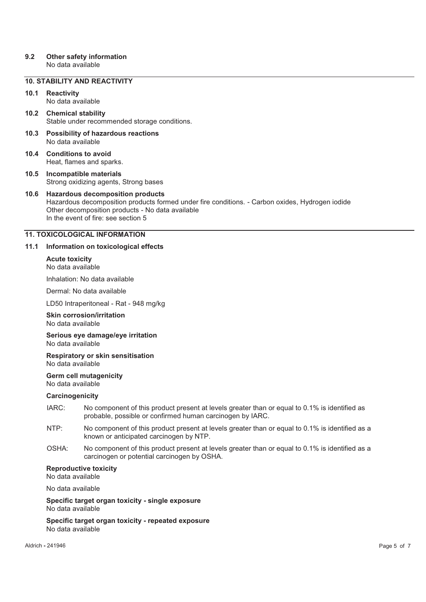## **9.2 Other safety information**

No data available

## **10. STABILITY AND REACTIVITY**

## **10.1 Reactivity**

No data available

- **10.2 Chemical stability**  Stable under recommended storage conditions.
- **10.3 Possibility of hazardous reactions**  No data available
- **10.4 Conditions to avoid**  Heat, flames and sparks.
- **10.5 Incompatible materials**  Strong oxidizing agents, Strong bases

## **10.6 Hazardous decomposition products**  Hazardous decomposition products formed under fire conditions. - Carbon oxides, Hydrogen iodide Other decomposition products - No data available In the event of fire: see section 5

## **11. TOXICOLOGICAL INFORMATION**

## **11.1 Information on toxicological effects**

**Acute toxicity**  No data available

Inhalation: No data available

Dermal: No data available

LD50 Intraperitoneal - Rat - 948 mg/kg

#### **Skin corrosion/irritation**  No data available

**Serious eye damage/eye irritation**  No data available

**Respiratory or skin sensitisation**  No data available

### **Germ cell mutagenicity**  No data available

#### **Carcinogenicity**

- IARC: No component of this product present at levels greater than or equal to 0.1% is identified as probable, possible or confirmed human carcinogen by IARC.
- NTP: No component of this product present at levels greater than or equal to 0.1% is identified as a known or anticipated carcinogen by NTP.
- OSHA: No component of this product present at levels greater than or equal to 0.1% is identified as a carcinogen or potential carcinogen by OSHA.

## **Reproductive toxicity**

No data available

No data available

**Specific target organ toxicity - single exposure** 

No data available

**Specific target organ toxicity - repeated exposure**  No data available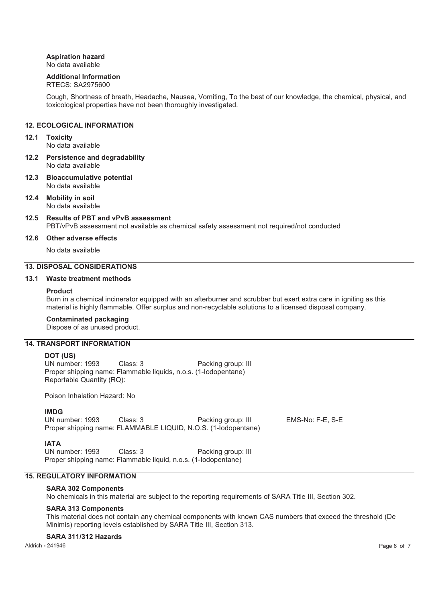## **Aspiration hazard**

No data available

## **Additional Information**

## RTECS: SA2975600

Cough, Shortness of breath, Headache, Nausea, Vomiting, To the best of our knowledge, the chemical, physical, and toxicological properties have not been thoroughly investigated.

## **12. ECOLOGICAL INFORMATION**

## **12.1 Toxicity**

No data available

- **12.2 Persistence and degradability**  No data available
- **12.3 Bioaccumulative potential**  No data available
- **12.4 Mobility in soil**  No data available
- **12.5 Results of PBT and vPvB assessment**  PBT/vPvB assessment not available as chemical safety assessment not required/not conducted

## **12.6 Other adverse effects**

No data available

## **13. DISPOSAL CONSIDERATIONS**

## **13.1 Waste treatment methods**

#### **Product**

Burn in a chemical incinerator equipped with an afterburner and scrubber but exert extra care in igniting as this material is highly flammable. Offer surplus and non-recyclable solutions to a licensed disposal company.

## **Contaminated packaging**

Dispose of as unused product.

## **14. TRANSPORT INFORMATION**

**DOT (US)** Class: 3 Packing group: III Proper shipping name: Flammable liquids, n.o.s. (1-Iodopentane) Reportable Quantity (RQ):

Poison Inhalation Hazard: No

## **IMDG**

UN number: 1993 Class: 3 Packing group: III EMS-No: F-E, S-E Proper shipping name: FLAMMABLE LIQUID, N.O.S. (1-Iodopentane)

**IATA**<br>UN number: 1993 Class: 3 Packing group: III Proper shipping name: Flammable liquid, n.o.s. (1-Iodopentane)

## **15. REGULATORY INFORMATION**

## **SARA 302 Components**

No chemicals in this material are subject to the reporting requirements of SARA Title III, Section 302.

#### **SARA 313 Components**

This material does not contain any chemical components with known CAS numbers that exceed the threshold (De Minimis) reporting levels established by SARA Title III, Section 313.

#### **SARA 311/312 Hazards**

Aldrich **-** 241946 Page 6 of 7